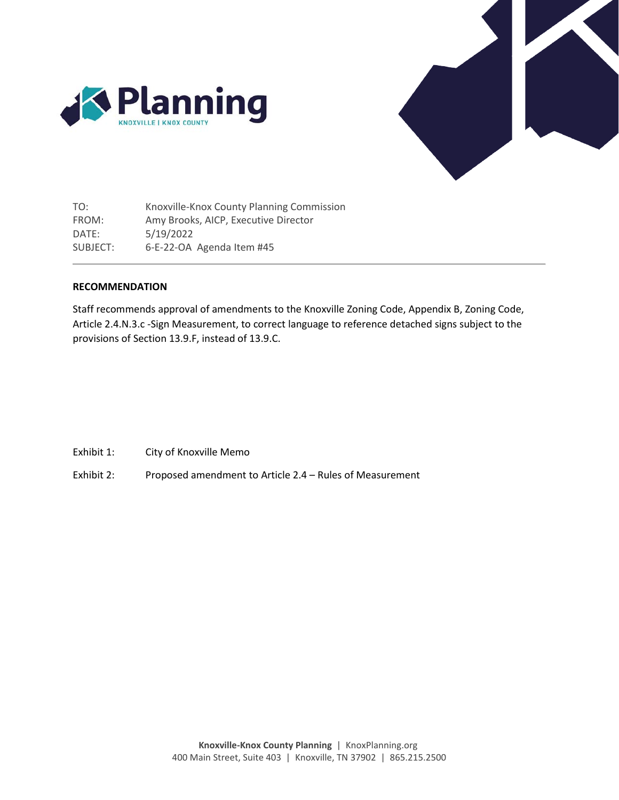



TO: FROM: DATE: SUBJECT: Knoxville-Knox County Planning Commission Amy Brooks, AICP, Executive Director 5/19/2022 6-E-22-OA Agenda Item #45

# **RECOMMENDATION**

Staff recommends approval of amendments to the Knoxville Zoning Code, Appendix B, Zoning Code, Article 2.4.N.3.c -Sign Measurement, to correct language to reference detached signs subject to the provisions of Section 13.9.F, instead of 13.9.C.

- Exhibit 1: City of Knoxville Memo
- Exhibit 2: Proposed amendment to Article 2.4 Rules of Measurement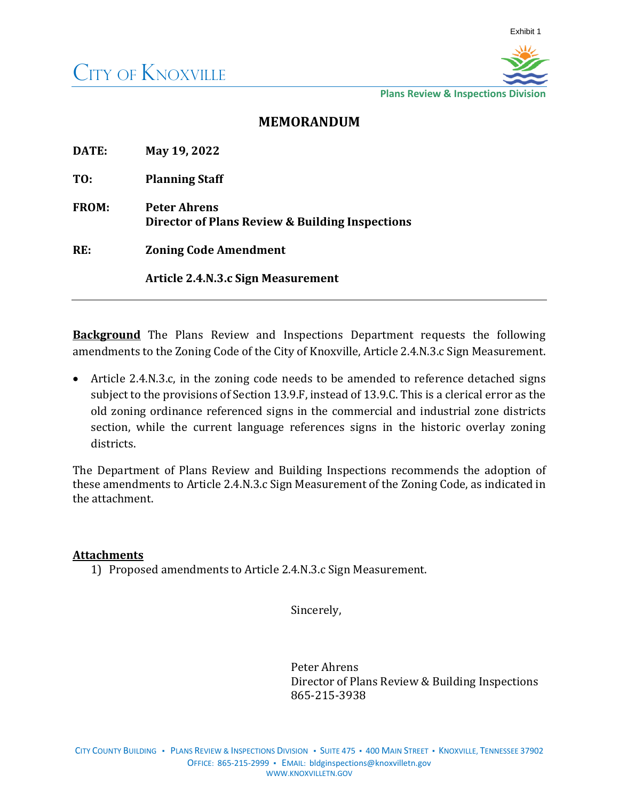

**Plans Review & Inspections Division** 

# **MEMORANDUM**

| DATE:        | May 19, 2022                                                           |
|--------------|------------------------------------------------------------------------|
| TO:          | <b>Planning Staff</b>                                                  |
| <b>FROM:</b> | <b>Peter Ahrens</b><br>Director of Plans Review & Building Inspections |
| RE:          | <b>Zoning Code Amendment</b>                                           |
|              | Article 2.4.N.3.c Sign Measurement                                     |

**Background** The Plans Review and Inspections Department requests the following amendments to the Zoning Code of the City of Knoxville, Article 2.4.N.3.c Sign Measurement.

• Article 2.4.N.3.c, in the zoning code needs to be amended to reference detached signs subject to the provisions of Section 13.9.F, instead of 13.9.C. This is a clerical error as the old zoning ordinance referenced signs in the commercial and industrial zone districts section, while the current language references signs in the historic overlay zoning districts.

The Department of Plans Review and Building Inspections recommends the adoption of these amendments to Article 2.4.N.3.c Sign Measurement of the Zoning Code, as indicated in the attachment.

# **Attachments**

1) Proposed amendments to Article 2.4.N.3.c Sign Measurement.

Sincerely,

Peter Ahrens Director of Plans Review & Building Inspections 865-215-3938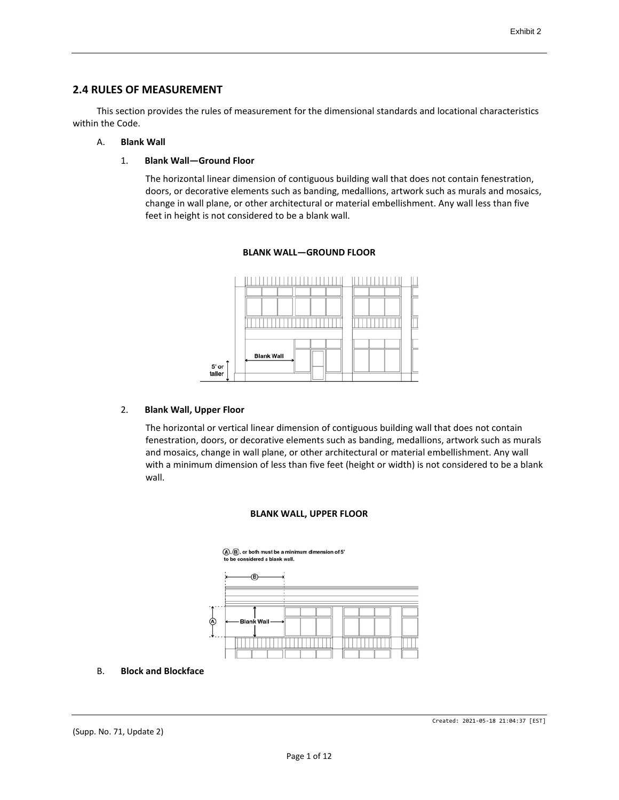# **2.4 RULES OF MEASUREMENT**

This section provides the rules of measurement for the dimensional standards and locational characteristics within the Code.

# A. **Blank Wall**

1. **Blank Wall—Ground Floor**

The horizontal linear dimension of contiguous building wall that does not contain fenestration, doors, or decorative elements such as banding, medallions, artwork such as murals and mosaics, change in wall plane, or other architectural or material embellishment. Any wall less than five feet in height is not considered to be a blank wall.



# **BLANK WALL—GROUND FLOOR**

### 2. **Blank Wall, Upper Floor**

The horizontal or vertical linear dimension of contiguous building wall that does not contain fenestration, doors, or decorative elements such as banding, medallions, artwork such as murals and mosaics, change in wall plane, or other architectural or material embellishment. Any wall with a minimum dimension of less than five feet (height or width) is not considered to be a blank wall.

# **BLANK WALL, UPPER FLOOR**



B. **Block and Blockface**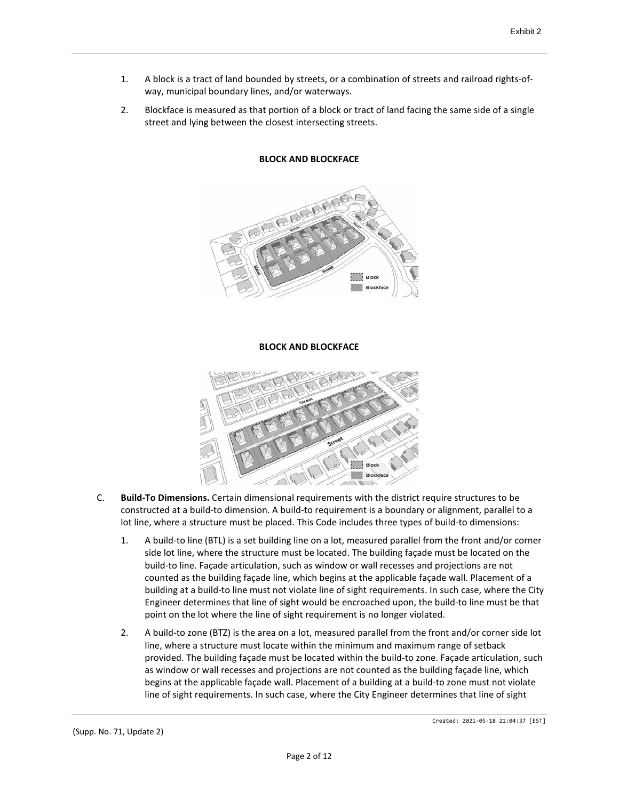- 1. A block is a tract of land bounded by streets, or a combination of streets and railroad rights-ofway, municipal boundary lines, and/or waterways.
- 2. Blockface is measured as that portion of a block or tract of land facing the same side of a single street and lying between the closest intersecting streets.



# **BLOCK AND BLOCKFACE**

### **BLOCK AND BLOCKFACE**



- C. **Build-To Dimensions.** Certain dimensional requirements with the district require structures to be constructed at a build-to dimension. A build-to requirement is a boundary or alignment, parallel to a lot line, where a structure must be placed. This Code includes three types of build-to dimensions:
	- 1. A build-to line (BTL) is a set building line on a lot, measured parallel from the front and/or corner side lot line, where the structure must be located. The building façade must be located on the build-to line. Façade articulation, such as window or wall recesses and projections are not counted as the building façade line, which begins at the applicable façade wall. Placement of a building at a build-to line must not violate line of sight requirements. In such case, where the City Engineer determines that line of sight would be encroached upon, the build-to line must be that point on the lot where the line of sight requirement is no longer violated.
	- 2. A build-to zone (BTZ) is the area on a lot, measured parallel from the front and/or corner side lot line, where a structure must locate within the minimum and maximum range of setback provided. The building façade must be located within the build-to zone. Façade articulation, such as window or wall recesses and projections are not counted as the building façade line, which begins at the applicable façade wall. Placement of a building at a build-to zone must not violate line of sight requirements. In such case, where the City Engineer determines that line of sight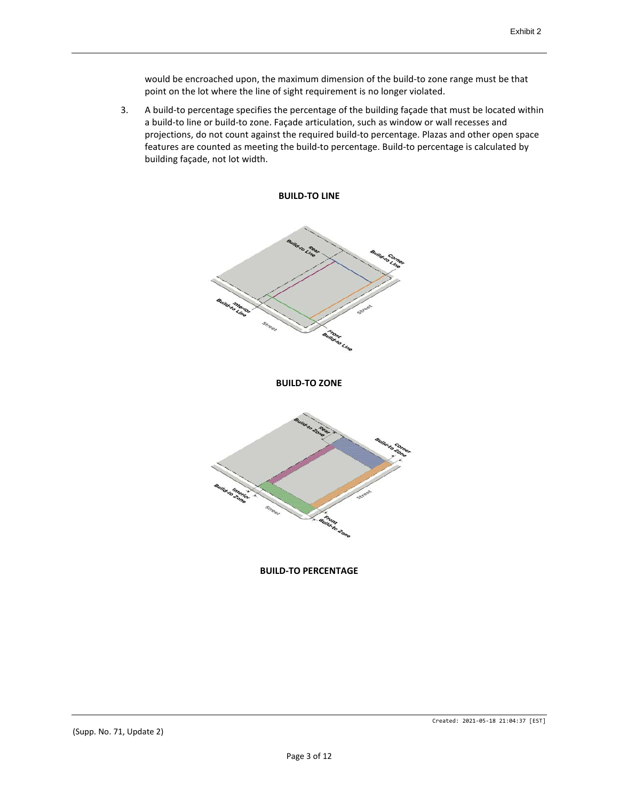would be encroached upon, the maximum dimension of the build-to zone range must be that point on the lot where the line of sight requirement is no longer violated.

3. A build-to percentage specifies the percentage of the building façade that must be located within a build-to line or build-to zone. Façade articulation, such as window or wall recesses and projections, do not count against the required build-to percentage. Plazas and other open space features are counted as meeting the build-to percentage. Build-to percentage is calculated by building façade, not lot width.



### **BUILD-TO PERCENTAGE**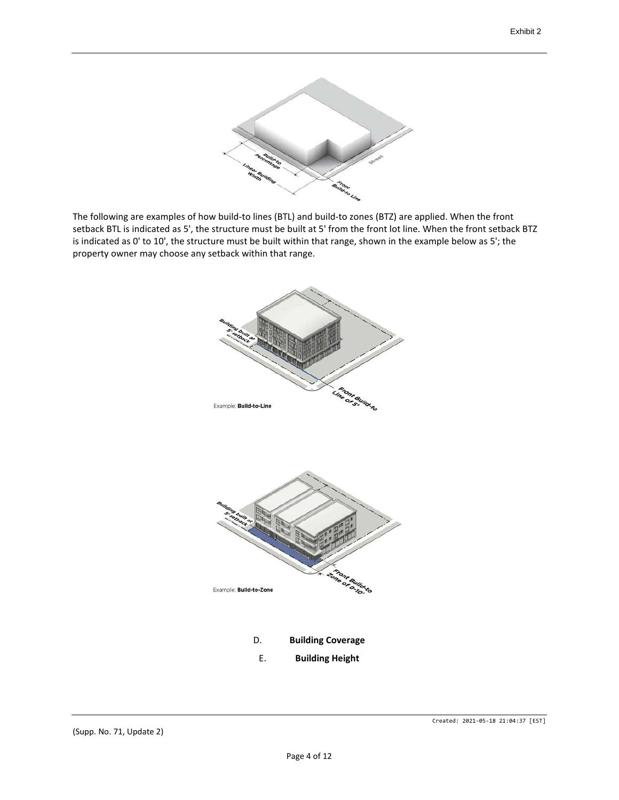

The following are examples of how build-to lines (BTL) and build-to zones (BTZ) are applied. When the front setback BTL is indicated as 5', the structure must be built at 5' from the front lot line. When the front setback BTZ is indicated as 0' to 10', the structure must be built within that range, shown in the example below as 5'; the property owner may choose any setback within that range.

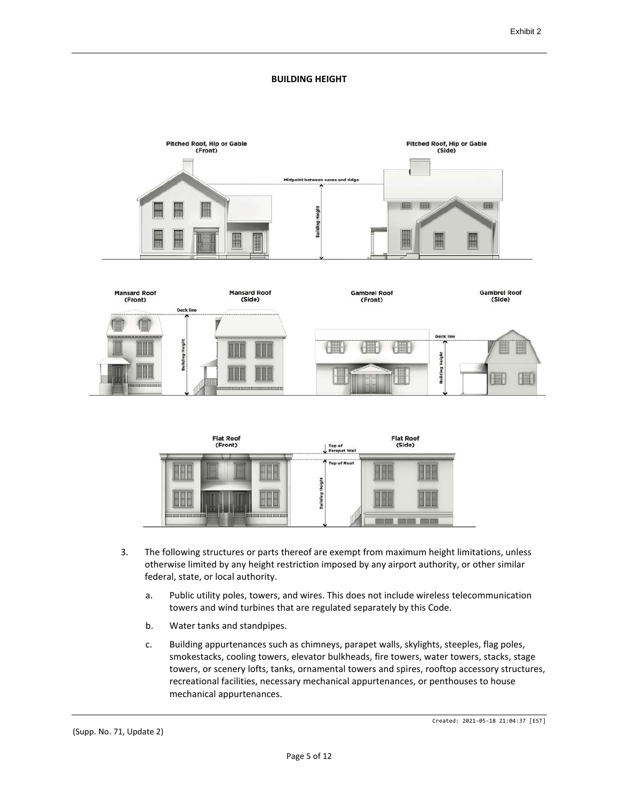# **BUILDING HEIGHT**







- 3. The following structures or parts thereof are exempt from maximum height limitations, unless otherwise limited by any height restriction imposed by any airport authority, or other similar federal, state, or local authority.
	- a. Public utility poles, towers, and wires. This does not include wireless telecommunication towers and wind turbines that are regulated separately by this Code.
	- b. Water tanks and standpipes.
	- c. Building appurtenances such as chimneys, parapet walls, skylights, steeples, flag poles, smokestacks, cooling towers, elevator bulkheads, fire towers, water towers, stacks, stage towers, or scenery lofts, tanks, ornamental towers and spires, rooftop accessory structures, recreational facilities, necessary mechanical appurtenances, or penthouses to house mechanical appurtenances.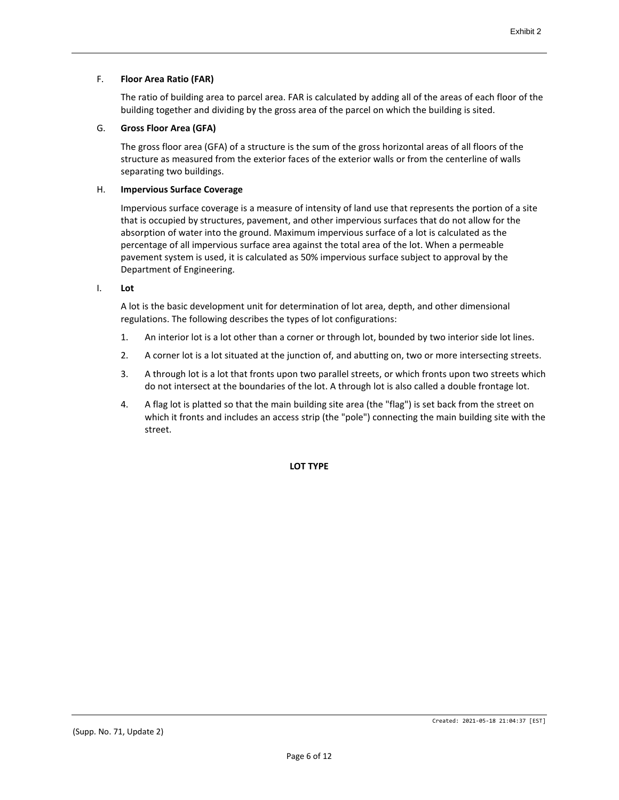# F. **Floor Area Ratio (FAR)**

The ratio of building area to parcel area. FAR is calculated by adding all of the areas of each floor of the building together and dividing by the gross area of the parcel on which the building is sited.

# G. **Gross Floor Area (GFA)**

The gross floor area (GFA) of a structure is the sum of the gross horizontal areas of all floors of the structure as measured from the exterior faces of the exterior walls or from the centerline of walls separating two buildings.

### H. **Impervious Surface Coverage**

Impervious surface coverage is a measure of intensity of land use that represents the portion of a site that is occupied by structures, pavement, and other impervious surfaces that do not allow for the absorption of water into the ground. Maximum impervious surface of a lot is calculated as the percentage of all impervious surface area against the total area of the lot. When a permeable pavement system is used, it is calculated as 50% impervious surface subject to approval by the Department of Engineering.

I. **Lot**

A lot is the basic development unit for determination of lot area, depth, and other dimensional regulations. The following describes the types of lot configurations:

- 1. An interior lot is a lot other than a corner or through lot, bounded by two interior side lot lines.
- 2. A corner lot is a lot situated at the junction of, and abutting on, two or more intersecting streets.
- 3. A through lot is a lot that fronts upon two parallel streets, or which fronts upon two streets which do not intersect at the boundaries of the lot. A through lot is also called a double frontage lot.
- 4. A flag lot is platted so that the main building site area (the "flag") is set back from the street on which it fronts and includes an access strip (the "pole") connecting the main building site with the street.

**LOT TYPE**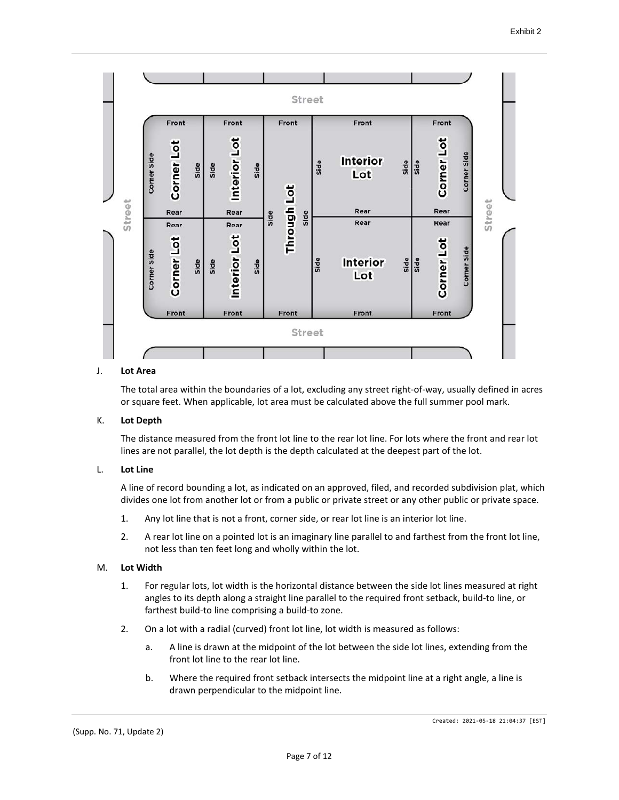

### J. **Lot Area**

The total area within the boundaries of a lot, excluding any street right-of-way, usually defined in acres or square feet. When applicable, lot area must be calculated above the full summer pool mark.

### K. **Lot Depth**

The distance measured from the front lot line to the rear lot line. For lots where the front and rear lot lines are not parallel, the lot depth is the depth calculated at the deepest part of the lot.

### L. **Lot Line**

A line of record bounding a lot, as indicated on an approved, filed, and recorded subdivision plat, which divides one lot from another lot or from a public or private street or any other public or private space.

- 1. Any lot line that is not a front, corner side, or rear lot line is an interior lot line.
- 2. A rear lot line on a pointed lot is an imaginary line parallel to and farthest from the front lot line, not less than ten feet long and wholly within the lot.

#### M. **Lot Width**

- 1. For regular lots, lot width is the horizontal distance between the side lot lines measured at right angles to its depth along a straight line parallel to the required front setback, build-to line, or farthest build-to line comprising a build-to zone.
- 2. On a lot with a radial (curved) front lot line, lot width is measured as follows:
	- a. A line is drawn at the midpoint of the lot between the side lot lines, extending from the front lot line to the rear lot line.
	- b. Where the required front setback intersects the midpoint line at a right angle, a line is drawn perpendicular to the midpoint line.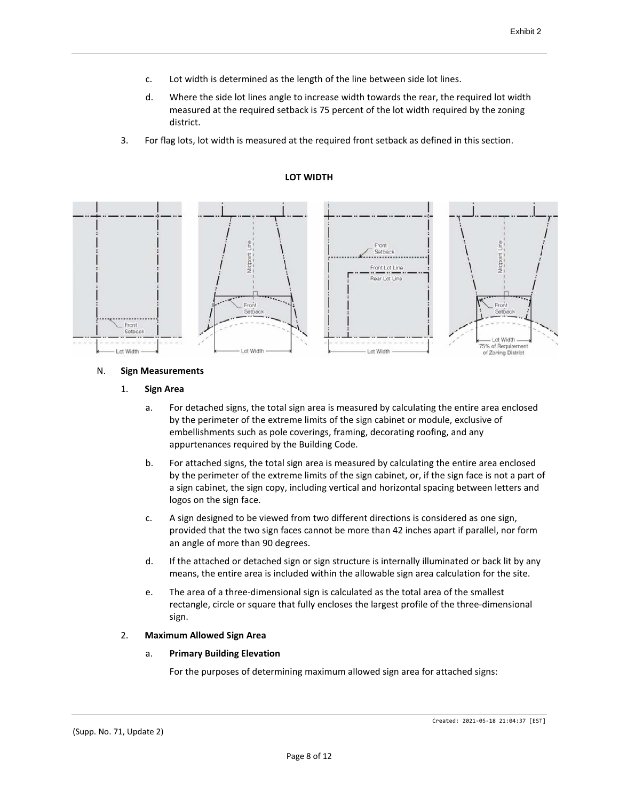- c. Lot width is determined as the length of the line between side lot lines.
- d. Where the side lot lines angle to increase width towards the rear, the required lot width measured at the required setback is 75 percent of the lot width required by the zoning district.
- 3. For flag lots, lot width is measured at the required front setback as defined in this section.



# **LOT WIDTH**

### N. **Sign Measurements**

### 1. **Sign Area**

- a. For detached signs, the total sign area is measured by calculating the entire area enclosed by the perimeter of the extreme limits of the sign cabinet or module, exclusive of embellishments such as pole coverings, framing, decorating roofing, and any appurtenances required by the Building Code.
- b. For attached signs, the total sign area is measured by calculating the entire area enclosed by the perimeter of the extreme limits of the sign cabinet, or, if the sign face is not a part of a sign cabinet, the sign copy, including vertical and horizontal spacing between letters and logos on the sign face.
- c. A sign designed to be viewed from two different directions is considered as one sign, provided that the two sign faces cannot be more than 42 inches apart if parallel, nor form an angle of more than 90 degrees.
- d. If the attached or detached sign or sign structure is internally illuminated or back lit by any means, the entire area is included within the allowable sign area calculation for the site.
- e. The area of a three-dimensional sign is calculated as the total area of the smallest rectangle, circle or square that fully encloses the largest profile of the three-dimensional sign.

### 2. **Maximum Allowed Sign Area**

### a. **Primary Building Elevation**

For the purposes of determining maximum allowed sign area for attached signs: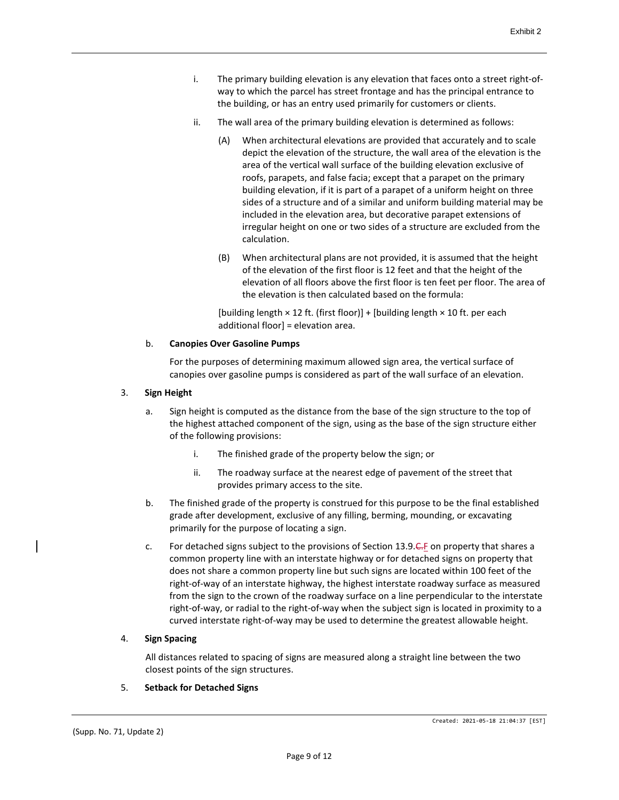- i. The primary building elevation is any elevation that faces onto a street right-ofway to which the parcel has street frontage and has the principal entrance to the building, or has an entry used primarily for customers or clients.
- ii. The wall area of the primary building elevation is determined as follows:
	- (A) When architectural elevations are provided that accurately and to scale depict the elevation of the structure, the wall area of the elevation is the area of the vertical wall surface of the building elevation exclusive of roofs, parapets, and false facia; except that a parapet on the primary building elevation, if it is part of a parapet of a uniform height on three sides of a structure and of a similar and uniform building material may be included in the elevation area, but decorative parapet extensions of irregular height on one or two sides of a structure are excluded from the calculation.
	- (B) When architectural plans are not provided, it is assumed that the height of the elevation of the first floor is 12 feet and that the height of the elevation of all floors above the first floor is ten feet per floor. The area of the elevation is then calculated based on the formula:

[building length  $\times$  12 ft. (first floor)] + [building length  $\times$  10 ft. per each additional floor] = elevation area.

### b. **Canopies Over Gasoline Pumps**

For the purposes of determining maximum allowed sign area, the vertical surface of canopies over gasoline pumps is considered as part of the wall surface of an elevation.

### 3. **Sign Height**

- a. Sign height is computed as the distance from the base of the sign structure to the top of the highest attached component of the sign, using as the base of the sign structure either of the following provisions:
	- i. The finished grade of the property below the sign; or
	- ii. The roadway surface at the nearest edge of pavement of the street that provides primary access to the site.
- b. The finished grade of the property is construed for this purpose to be the final established grade after development, exclusive of any filling, berming, mounding, or excavating primarily for the purpose of locating a sign.
- c. For detached signs subject to the provisions of Section 13.9.C.F on property that shares a common property line with an interstate highway or for detached signs on property that does not share a common property line but such signs are located within 100 feet of the right-of-way of an interstate highway, the highest interstate roadway surface as measured from the sign to the crown of the roadway surface on a line perpendicular to the interstate right-of-way, or radial to the right-of-way when the subject sign is located in proximity to a curved interstate right-of-way may be used to determine the greatest allowable height.

### 4. **Sign Spacing**

All distances related to spacing of signs are measured along a straight line between the two closest points of the sign structures.

### 5. **Setback for Detached Signs**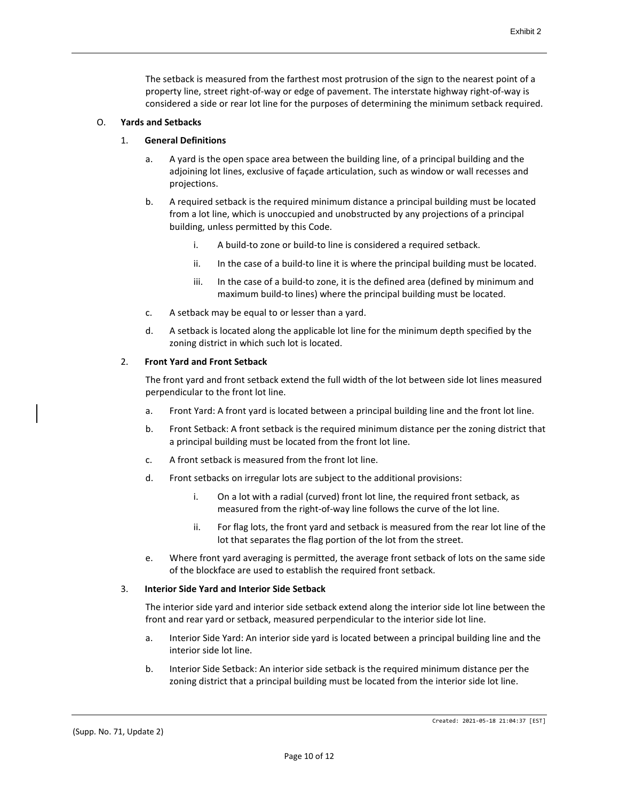The setback is measured from the farthest most protrusion of the sign to the nearest point of a property line, street right-of-way or edge of pavement. The interstate highway right-of-way is considered a side or rear lot line for the purposes of determining the minimum setback required.

# O. **Yards and Setbacks**

### 1. **General Definitions**

- a. A yard is the open space area between the building line, of a principal building and the adjoining lot lines, exclusive of façade articulation, such as window or wall recesses and projections.
- b. A required setback is the required minimum distance a principal building must be located from a lot line, which is unoccupied and unobstructed by any projections of a principal building, unless permitted by this Code.
	- i. A build-to zone or build-to line is considered a required setback.
	- ii. In the case of a build-to line it is where the principal building must be located.
	- iii. In the case of a build-to zone, it is the defined area (defined by minimum and maximum build-to lines) where the principal building must be located.
- c. A setback may be equal to or lesser than a yard.
- d. A setback is located along the applicable lot line for the minimum depth specified by the zoning district in which such lot is located.

# 2. **Front Yard and Front Setback**

The front yard and front setback extend the full width of the lot between side lot lines measured perpendicular to the front lot line.

- a. Front Yard: A front yard is located between a principal building line and the front lot line.
- b. Front Setback: A front setback is the required minimum distance per the zoning district that a principal building must be located from the front lot line.
- c. A front setback is measured from the front lot line.
- d. Front setbacks on irregular lots are subject to the additional provisions:
	- i. On a lot with a radial (curved) front lot line, the required front setback, as measured from the right-of-way line follows the curve of the lot line.
	- ii. For flag lots, the front yard and setback is measured from the rear lot line of the lot that separates the flag portion of the lot from the street.
- e. Where front yard averaging is permitted, the average front setback of lots on the same side of the blockface are used to establish the required front setback.

### 3. **Interior Side Yard and Interior Side Setback**

The interior side yard and interior side setback extend along the interior side lot line between the front and rear yard or setback, measured perpendicular to the interior side lot line.

- a. Interior Side Yard: An interior side yard is located between a principal building line and the interior side lot line.
- b. Interior Side Setback: An interior side setback is the required minimum distance per the zoning district that a principal building must be located from the interior side lot line.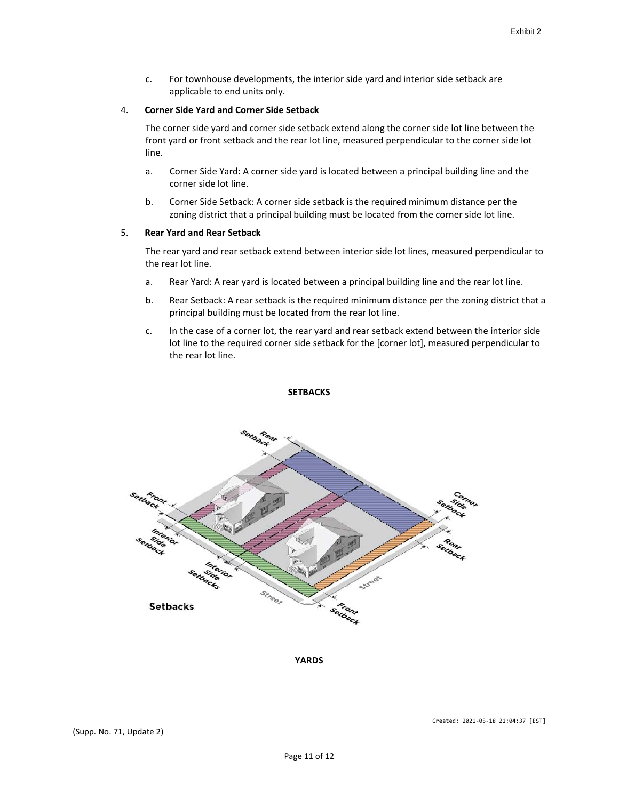c. For townhouse developments, the interior side yard and interior side setback are applicable to end units only.

### 4. **Corner Side Yard and Corner Side Setback**

The corner side yard and corner side setback extend along the corner side lot line between the front yard or front setback and the rear lot line, measured perpendicular to the corner side lot line.

- a. Corner Side Yard: A corner side yard is located between a principal building line and the corner side lot line.
- b. Corner Side Setback: A corner side setback is the required minimum distance per the zoning district that a principal building must be located from the corner side lot line.

### 5. **Rear Yard and Rear Setback**

The rear yard and rear setback extend between interior side lot lines, measured perpendicular to the rear lot line.

- a. Rear Yard: A rear yard is located between a principal building line and the rear lot line.
- b. Rear Setback: A rear setback is the required minimum distance per the zoning district that a principal building must be located from the rear lot line.
- c. In the case of a corner lot, the rear yard and rear setback extend between the interior side lot line to the required corner side setback for the [corner lot], measured perpendicular to the rear lot line.



# **SETBACKS**

**YARDS**